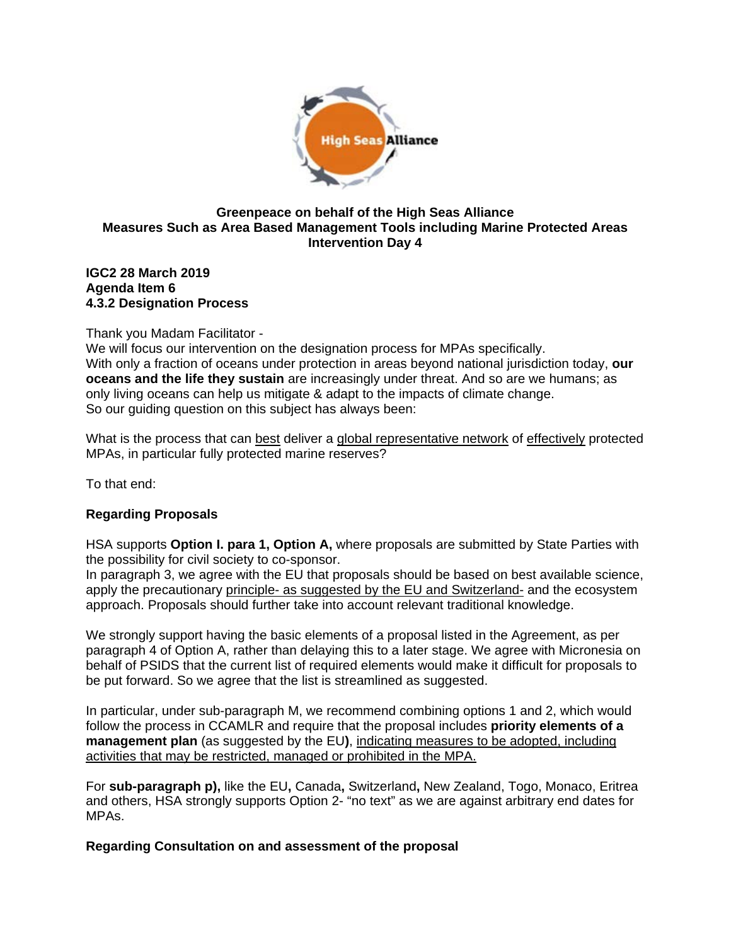

#### **Greenpeace on behalf of the High Seas Alliance Measures Such as Area Based Management Tools including Marine Protected Areas Intervention Day 4**

#### **IGC2 28 March 2019 Agenda Item 6 4.3.2 Designation Process**

# Thank you Madam Facilitator -

We will focus our intervention on the designation process for MPAs specifically. With only a fraction of oceans under protection in areas beyond national jurisdiction today, **our oceans and the life they sustain** are increasingly under threat. And so are we humans; as only living oceans can help us mitigate & adapt to the impacts of climate change. So our guiding question on this subject has always been:

What is the process that can best deliver a global representative network of effectively protected MPAs, in particular fully protected marine reserves?

To that end:

# **Regarding Proposals**

HSA supports **Option I. para 1, Option A,** where proposals are submitted by State Parties with the possibility for civil society to co-sponsor.

In paragraph 3, we agree with the EU that proposals should be based on best available science, apply the precautionary principle- as suggested by the EU and Switzerland- and the ecosystem approach. Proposals should further take into account relevant traditional knowledge.

We strongly support having the basic elements of a proposal listed in the Agreement, as per paragraph 4 of Option A, rather than delaying this to a later stage. We agree with Micronesia on behalf of PSIDS that the current list of required elements would make it difficult for proposals to be put forward. So we agree that the list is streamlined as suggested.

In particular, under sub-paragraph M, we recommend combining options 1 and 2, which would follow the process in CCAMLR and require that the proposal includes **priority elements of a management plan** (as suggested by the EU**)**, indicating measures to be adopted, including activities that may be restricted, managed or prohibited in the MPA.

For **sub-paragraph p),** like the EU**,** Canada**,** Switzerland**,** New Zealand, Togo, Monaco, Eritrea and others, HSA strongly supports Option 2- "no text" as we are against arbitrary end dates for MPAs.

# **Regarding Consultation on and assessment of the proposal**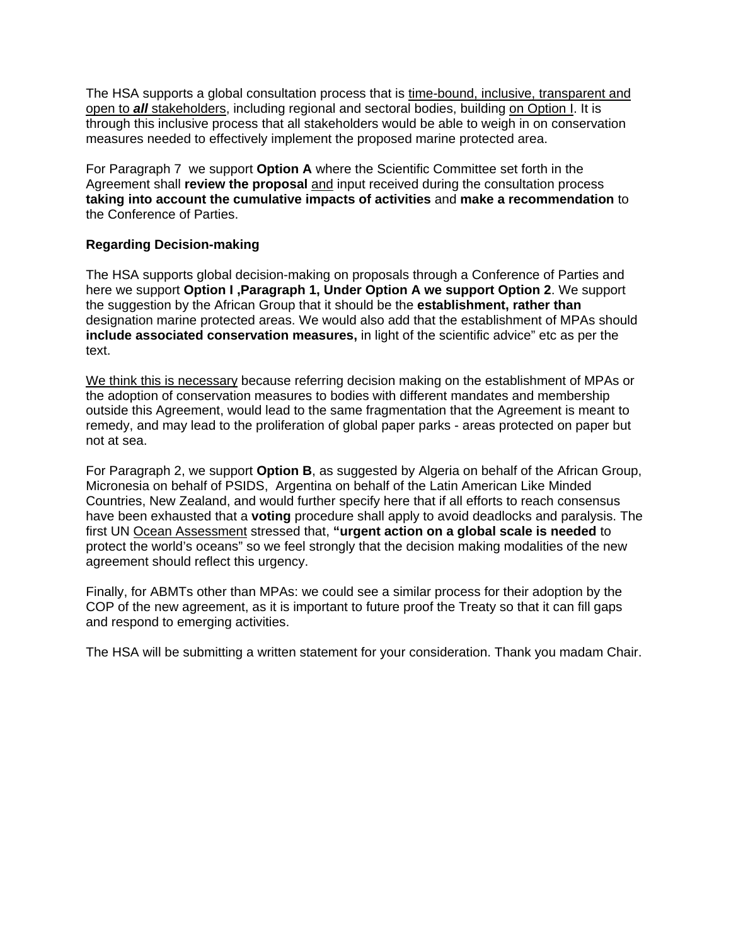The HSA supports a global consultation process that is time-bound, inclusive, transparent and open to *all* stakeholders, including regional and sectoral bodies, building on Option I. It is through this inclusive process that all stakeholders would be able to weigh in on conservation measures needed to effectively implement the proposed marine protected area.

For Paragraph 7 we support **Option A** where the Scientific Committee set forth in the Agreement shall **review the proposal** and input received during the consultation process **taking into account the cumulative impacts of activities** and **make a recommendation** to the Conference of Parties.

#### **Regarding Decision-making**

The HSA supports global decision-making on proposals through a Conference of Parties and here we support **Option I ,Paragraph 1, Under Option A we support Option 2**. We support the suggestion by the African Group that it should be the **establishment, rather than**  designation marine protected areas. We would also add that the establishment of MPAs should **include associated conservation measures,** in light of the scientific advice" etc as per the text.

We think this is necessary because referring decision making on the establishment of MPAs or the adoption of conservation measures to bodies with different mandates and membership outside this Agreement, would lead to the same fragmentation that the Agreement is meant to remedy, and may lead to the proliferation of global paper parks - areas protected on paper but not at sea.

For Paragraph 2, we support **Option B**, as suggested by Algeria on behalf of the African Group, Micronesia on behalf of PSIDS, Argentina on behalf of the Latin American Like Minded Countries, New Zealand, and would further specify here that if all efforts to reach consensus have been exhausted that a **voting** procedure shall apply to avoid deadlocks and paralysis. The first UN [Ocean Assessment](http://www.worldoceanassessment.org/) stressed that, **"urgent action on a global scale is needed** to protect the world's oceans" so we feel strongly that the decision making modalities of the new agreement should reflect this urgency.

Finally, for ABMTs other than MPAs: we could see a similar process for their adoption by the COP of the new agreement, as it is important to future proof the Treaty so that it can fill gaps and respond to emerging activities.

The HSA will be submitting a written statement for your consideration. Thank you madam Chair.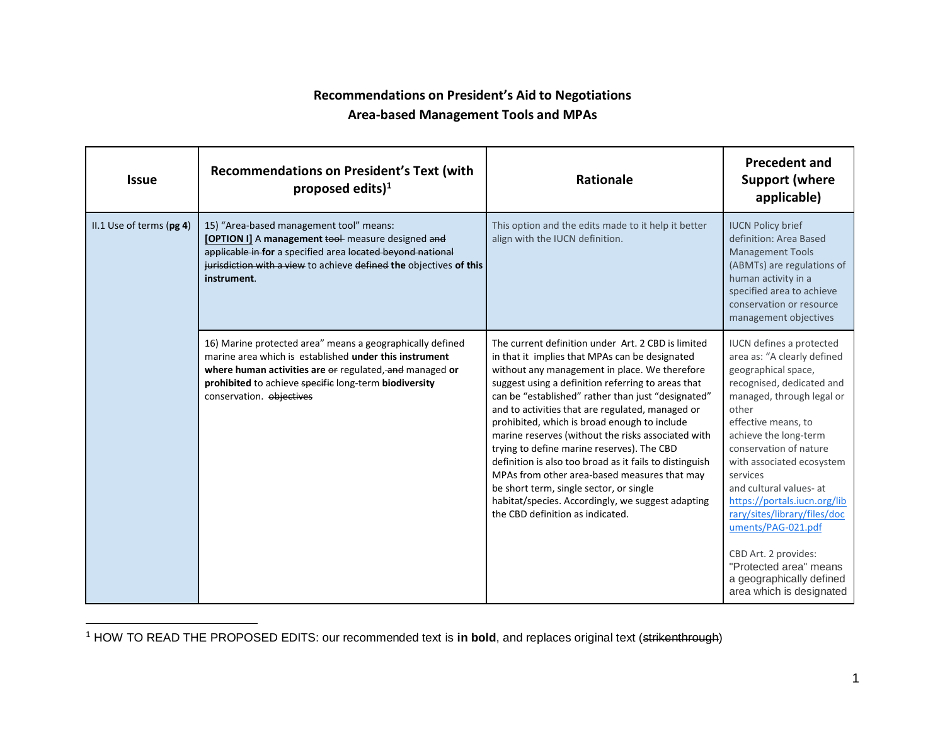# **Recommendations on President's Aid to Negotiations Area-based Management Tools and MPAs**

| <b>Issue</b>             | <b>Recommendations on President's Text (with</b><br>proposed edits) $1$                                                                                                                                                                                             | <b>Rationale</b>                                                                                                                                                                                                                                                                                                                                                                                                                                                                                                                                                                                                                                                                                                         | <b>Precedent and</b><br><b>Support (where</b><br>applicable)                                                                                                                                                                                                                                                                                                                                                                                                                                           |
|--------------------------|---------------------------------------------------------------------------------------------------------------------------------------------------------------------------------------------------------------------------------------------------------------------|--------------------------------------------------------------------------------------------------------------------------------------------------------------------------------------------------------------------------------------------------------------------------------------------------------------------------------------------------------------------------------------------------------------------------------------------------------------------------------------------------------------------------------------------------------------------------------------------------------------------------------------------------------------------------------------------------------------------------|--------------------------------------------------------------------------------------------------------------------------------------------------------------------------------------------------------------------------------------------------------------------------------------------------------------------------------------------------------------------------------------------------------------------------------------------------------------------------------------------------------|
| II.1 Use of terms (pg 4) | 15) "Area-based management tool" means:<br>[OPTION I] A management tool measure designed and<br>applicable in for a specified area located beyond national<br>jurisdiction with a view to achieve defined the objectives of this<br>instrument.                     | This option and the edits made to it help it better<br>align with the IUCN definition.                                                                                                                                                                                                                                                                                                                                                                                                                                                                                                                                                                                                                                   | <b>IUCN Policy brief</b><br>definition: Area Based<br><b>Management Tools</b><br>(ABMTs) are regulations of<br>human activity in a<br>specified area to achieve<br>conservation or resource<br>management objectives                                                                                                                                                                                                                                                                                   |
|                          | 16) Marine protected area" means a geographically defined<br>marine area which is established under this instrument<br>where human activities are or regulated, and managed or<br>prohibited to achieve specific long-term biodiversity<br>conservation. objectives | The current definition under Art. 2 CBD is limited<br>in that it implies that MPAs can be designated<br>without any management in place. We therefore<br>suggest using a definition referring to areas that<br>can be "established" rather than just "designated"<br>and to activities that are regulated, managed or<br>prohibited, which is broad enough to include<br>marine reserves (without the risks associated with<br>trying to define marine reserves). The CBD<br>definition is also too broad as it fails to distinguish<br>MPAs from other area-based measures that may<br>be short term, single sector, or single<br>habitat/species. Accordingly, we suggest adapting<br>the CBD definition as indicated. | <b>IUCN</b> defines a protected<br>area as: "A clearly defined<br>geographical space,<br>recognised, dedicated and<br>managed, through legal or<br>other<br>effective means, to<br>achieve the long-term<br>conservation of nature<br>with associated ecosystem<br>services<br>and cultural values- at<br>https://portals.iucn.org/lib<br>rary/sites/library/files/doc<br>uments/PAG-021.pdf<br>CBD Art. 2 provides:<br>"Protected area" means<br>a geographically defined<br>area which is designated |

<sup>&</sup>lt;sup>1</sup> HOW TO READ THE PROPOSED EDITS: our recommended text is in bold, and replaces original text (strikenthrough)

 $\overline{a}$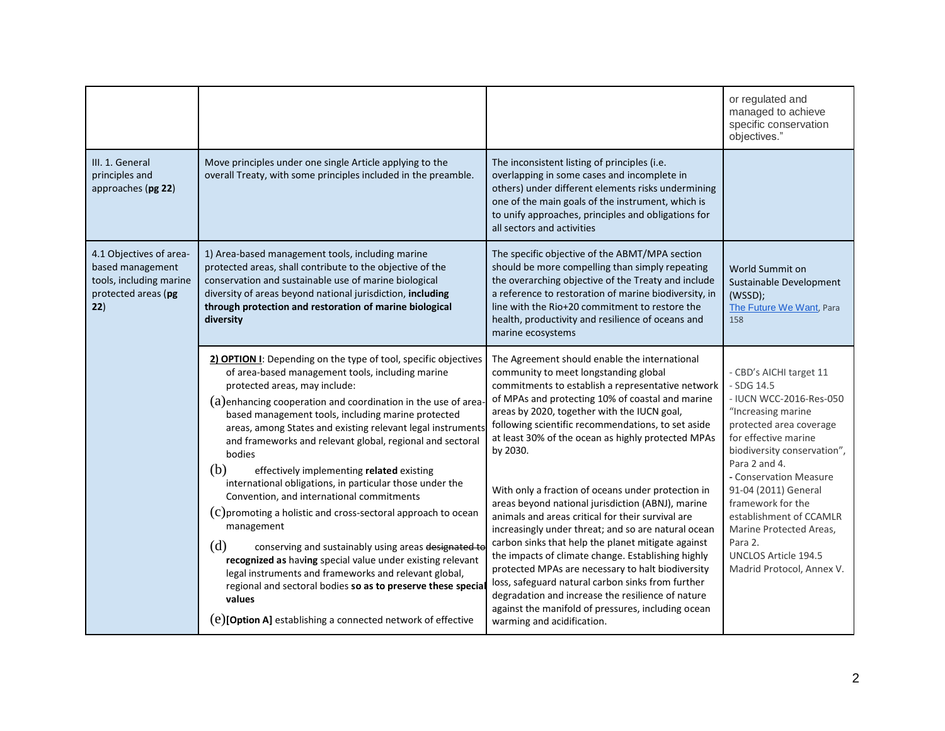|                                                                                                      |                                                                                                                                                                                                                                                                                                                                                                                                                                                                                                                                                                                                                                                                                                                                                                                                                                                                                                                                                                                                 |                                                                                                                                                                                                                                                                                                                                                                                                                                                                                                                                                                                                                                                                                                                                                                                                                                                                                                                                                              | or regulated and<br>managed to achieve<br>specific conservation<br>objectives."                                                                                                                                                                                                                                                                                                               |
|------------------------------------------------------------------------------------------------------|-------------------------------------------------------------------------------------------------------------------------------------------------------------------------------------------------------------------------------------------------------------------------------------------------------------------------------------------------------------------------------------------------------------------------------------------------------------------------------------------------------------------------------------------------------------------------------------------------------------------------------------------------------------------------------------------------------------------------------------------------------------------------------------------------------------------------------------------------------------------------------------------------------------------------------------------------------------------------------------------------|--------------------------------------------------------------------------------------------------------------------------------------------------------------------------------------------------------------------------------------------------------------------------------------------------------------------------------------------------------------------------------------------------------------------------------------------------------------------------------------------------------------------------------------------------------------------------------------------------------------------------------------------------------------------------------------------------------------------------------------------------------------------------------------------------------------------------------------------------------------------------------------------------------------------------------------------------------------|-----------------------------------------------------------------------------------------------------------------------------------------------------------------------------------------------------------------------------------------------------------------------------------------------------------------------------------------------------------------------------------------------|
| III. 1. General<br>principles and<br>approaches (pg 22)                                              | Move principles under one single Article applying to the<br>overall Treaty, with some principles included in the preamble.                                                                                                                                                                                                                                                                                                                                                                                                                                                                                                                                                                                                                                                                                                                                                                                                                                                                      | The inconsistent listing of principles (i.e.<br>overlapping in some cases and incomplete in<br>others) under different elements risks undermining<br>one of the main goals of the instrument, which is<br>to unify approaches, principles and obligations for<br>all sectors and activities                                                                                                                                                                                                                                                                                                                                                                                                                                                                                                                                                                                                                                                                  |                                                                                                                                                                                                                                                                                                                                                                                               |
| 4.1 Objectives of area-<br>based management<br>tools, including marine<br>protected areas (pg<br>22) | 1) Area-based management tools, including marine<br>protected areas, shall contribute to the objective of the<br>conservation and sustainable use of marine biological<br>diversity of areas beyond national jurisdiction, including<br>through protection and restoration of marine biological<br>diversity                                                                                                                                                                                                                                                                                                                                                                                                                                                                                                                                                                                                                                                                                    | The specific objective of the ABMT/MPA section<br>should be more compelling than simply repeating<br>the overarching objective of the Treaty and include<br>a reference to restoration of marine biodiversity, in<br>line with the Rio+20 commitment to restore the<br>health, productivity and resilience of oceans and<br>marine ecosystems                                                                                                                                                                                                                                                                                                                                                                                                                                                                                                                                                                                                                | World Summit on<br>Sustainable Development<br>(WSSD);<br>The Future We Want, Para<br>158                                                                                                                                                                                                                                                                                                      |
|                                                                                                      | 2) OPTION I: Depending on the type of tool, specific objectives<br>of area-based management tools, including marine<br>protected areas, may include:<br>$(a)$ enhancing cooperation and coordination in the use of area-<br>based management tools, including marine protected<br>areas, among States and existing relevant legal instruments<br>and frameworks and relevant global, regional and sectoral<br>bodies<br>(b)<br>effectively implementing related existing<br>international obligations, in particular those under the<br>Convention, and international commitments<br>(c) promoting a holistic and cross-sectoral approach to ocean<br>management<br>(d)<br>conserving and sustainably using areas designated to<br>recognized as having special value under existing relevant<br>legal instruments and frameworks and relevant global,<br>regional and sectoral bodies so as to preserve these special<br>values<br>(e)[Option A] establishing a connected network of effective | The Agreement should enable the international<br>community to meet longstanding global<br>commitments to establish a representative network<br>of MPAs and protecting 10% of coastal and marine<br>areas by 2020, together with the IUCN goal,<br>following scientific recommendations, to set aside<br>at least 30% of the ocean as highly protected MPAs<br>by 2030.<br>With only a fraction of oceans under protection in<br>areas beyond national jurisdiction (ABNJ), marine<br>animals and areas critical for their survival are<br>increasingly under threat; and so are natural ocean<br>carbon sinks that help the planet mitigate against<br>the impacts of climate change. Establishing highly<br>protected MPAs are necessary to halt biodiversity<br>loss, safeguard natural carbon sinks from further<br>degradation and increase the resilience of nature<br>against the manifold of pressures, including ocean<br>warming and acidification. | - CBD's AICHI target 11<br>- SDG 14.5<br>- IUCN WCC-2016-Res-050<br>"Increasing marine<br>protected area coverage<br>for effective marine<br>biodiversity conservation",<br>Para 2 and 4.<br>- Conservation Measure<br>91-04 (2011) General<br>framework for the<br>establishment of CCAMLR<br>Marine Protected Areas,<br>Para 2.<br><b>UNCLOS Article 194.5</b><br>Madrid Protocol, Annex V. |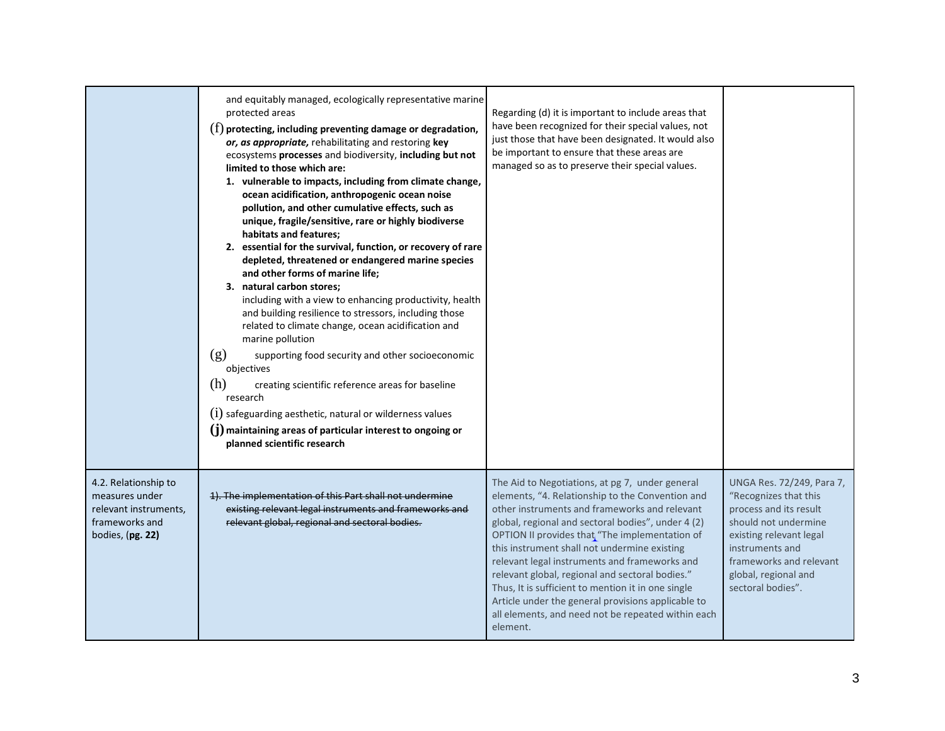|                                                                                                       | and equitably managed, ecologically representative marine<br>protected areas<br>$(f)$ protecting, including preventing damage or degradation,<br>or, as appropriate, rehabilitating and restoring key<br>ecosystems processes and biodiversity, including but not<br>limited to those which are:<br>1. vulnerable to impacts, including from climate change,<br>ocean acidification, anthropogenic ocean noise<br>pollution, and other cumulative effects, such as<br>unique, fragile/sensitive, rare or highly biodiverse<br>habitats and features;<br>2. essential for the survival, function, or recovery of rare<br>depleted, threatened or endangered marine species<br>and other forms of marine life;<br>3. natural carbon stores;<br>including with a view to enhancing productivity, health<br>and building resilience to stressors, including those<br>related to climate change, ocean acidification and<br>marine pollution<br>(g)<br>supporting food security and other socioeconomic<br>objectives<br>(h)<br>creating scientific reference areas for baseline<br>research<br>$(i)$ safeguarding aesthetic, natural or wilderness values<br>$(j)$ maintaining areas of particular interest to ongoing or<br>planned scientific research | Regarding (d) it is important to include areas that<br>have been recognized for their special values, not<br>just those that have been designated. It would also<br>be important to ensure that these areas are<br>managed so as to preserve their special values.                                                                                                                                                                                                                                                                                                                             |                                                                                                                                                                                                                            |
|-------------------------------------------------------------------------------------------------------|------------------------------------------------------------------------------------------------------------------------------------------------------------------------------------------------------------------------------------------------------------------------------------------------------------------------------------------------------------------------------------------------------------------------------------------------------------------------------------------------------------------------------------------------------------------------------------------------------------------------------------------------------------------------------------------------------------------------------------------------------------------------------------------------------------------------------------------------------------------------------------------------------------------------------------------------------------------------------------------------------------------------------------------------------------------------------------------------------------------------------------------------------------------------------------------------------------------------------------------------------|------------------------------------------------------------------------------------------------------------------------------------------------------------------------------------------------------------------------------------------------------------------------------------------------------------------------------------------------------------------------------------------------------------------------------------------------------------------------------------------------------------------------------------------------------------------------------------------------|----------------------------------------------------------------------------------------------------------------------------------------------------------------------------------------------------------------------------|
| 4.2. Relationship to<br>measures under<br>relevant instruments,<br>frameworks and<br>bodies, (pg. 22) | 1). The implementation of this Part shall not undermine<br>existing relevant legal instruments and frameworks and<br>relevant global, regional and sectoral bodies.                                                                                                                                                                                                                                                                                                                                                                                                                                                                                                                                                                                                                                                                                                                                                                                                                                                                                                                                                                                                                                                                                  | The Aid to Negotiations, at pg 7, under general<br>elements, "4. Relationship to the Convention and<br>other instruments and frameworks and relevant<br>global, regional and sectoral bodies", under 4 (2)<br>OPTION II provides that "The implementation of<br>this instrument shall not undermine existing<br>relevant legal instruments and frameworks and<br>relevant global, regional and sectoral bodies."<br>Thus, It is sufficient to mention it in one single<br>Article under the general provisions applicable to<br>all elements, and need not be repeated within each<br>element. | UNGA Res. 72/249, Para 7,<br>"Recognizes that this<br>process and its result<br>should not undermine<br>existing relevant legal<br>instruments and<br>frameworks and relevant<br>global, regional and<br>sectoral bodies". |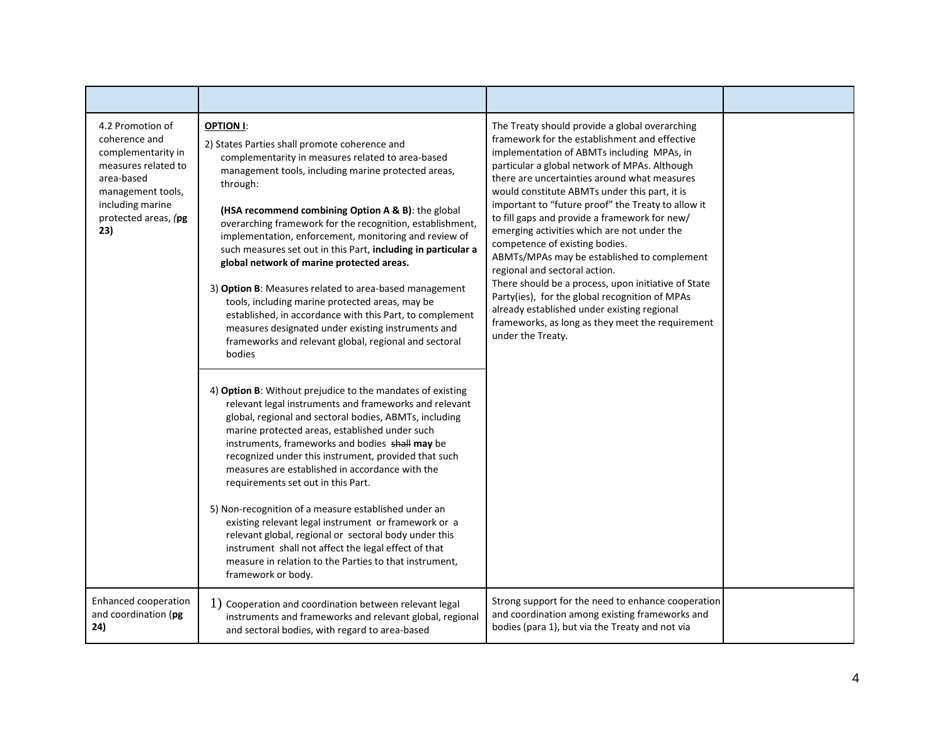| 4.2 Promotion of<br>coherence and<br>complementarity in<br>measures related to<br>area-based<br>management tools,<br>including marine<br>protected areas, (pg<br>23) | <b>OPTION I:</b><br>2) States Parties shall promote coherence and<br>complementarity in measures related to area-based<br>management tools, including marine protected areas,<br>through:<br>(HSA recommend combining Option A & B): the global<br>overarching framework for the recognition, establishment,<br>implementation, enforcement, monitoring and review of<br>such measures set out in this Part, including in particular a<br>global network of marine protected areas.<br>3) Option B: Measures related to area-based management<br>tools, including marine protected areas, may be<br>established, in accordance with this Part, to complement<br>measures designated under existing instruments and<br>frameworks and relevant global, regional and sectoral<br>bodies<br>4) Option B: Without prejudice to the mandates of existing<br>relevant legal instruments and frameworks and relevant<br>global, regional and sectoral bodies, ABMTs, including<br>marine protected areas, established under such<br>instruments, frameworks and bodies shall may be<br>recognized under this instrument, provided that such<br>measures are established in accordance with the<br>requirements set out in this Part.<br>5) Non-recognition of a measure established under an<br>existing relevant legal instrument or framework or a<br>relevant global, regional or sectoral body under this<br>instrument shall not affect the legal effect of that<br>measure in relation to the Parties to that instrument,<br>framework or body. | The Treaty should provide a global overarching<br>framework for the establishment and effective<br>implementation of ABMTs including MPAs, in<br>particular a global network of MPAs. Although<br>there are uncertainties around what measures<br>would constitute ABMTs under this part, it is<br>important to "future proof" the Treaty to allow it<br>to fill gaps and provide a framework for new/<br>emerging activities which are not under the<br>competence of existing bodies.<br>ABMTs/MPAs may be established to complement<br>regional and sectoral action.<br>There should be a process, upon initiative of State<br>Party(ies), for the global recognition of MPAs<br>already established under existing regional<br>frameworks, as long as they meet the requirement<br>under the Treaty. |  |
|----------------------------------------------------------------------------------------------------------------------------------------------------------------------|------------------------------------------------------------------------------------------------------------------------------------------------------------------------------------------------------------------------------------------------------------------------------------------------------------------------------------------------------------------------------------------------------------------------------------------------------------------------------------------------------------------------------------------------------------------------------------------------------------------------------------------------------------------------------------------------------------------------------------------------------------------------------------------------------------------------------------------------------------------------------------------------------------------------------------------------------------------------------------------------------------------------------------------------------------------------------------------------------------------------------------------------------------------------------------------------------------------------------------------------------------------------------------------------------------------------------------------------------------------------------------------------------------------------------------------------------------------------------------------------------------------------------------------------|----------------------------------------------------------------------------------------------------------------------------------------------------------------------------------------------------------------------------------------------------------------------------------------------------------------------------------------------------------------------------------------------------------------------------------------------------------------------------------------------------------------------------------------------------------------------------------------------------------------------------------------------------------------------------------------------------------------------------------------------------------------------------------------------------------|--|
| Enhanced cooperation<br>and coordination (pg<br>24)                                                                                                                  | 1) Cooperation and coordination between relevant legal<br>instruments and frameworks and relevant global, regional<br>and sectoral bodies, with regard to area-based                                                                                                                                                                                                                                                                                                                                                                                                                                                                                                                                                                                                                                                                                                                                                                                                                                                                                                                                                                                                                                                                                                                                                                                                                                                                                                                                                                           | Strong support for the need to enhance cooperation<br>and coordination among existing frameworks and<br>bodies (para 1), but via the Treaty and not via                                                                                                                                                                                                                                                                                                                                                                                                                                                                                                                                                                                                                                                  |  |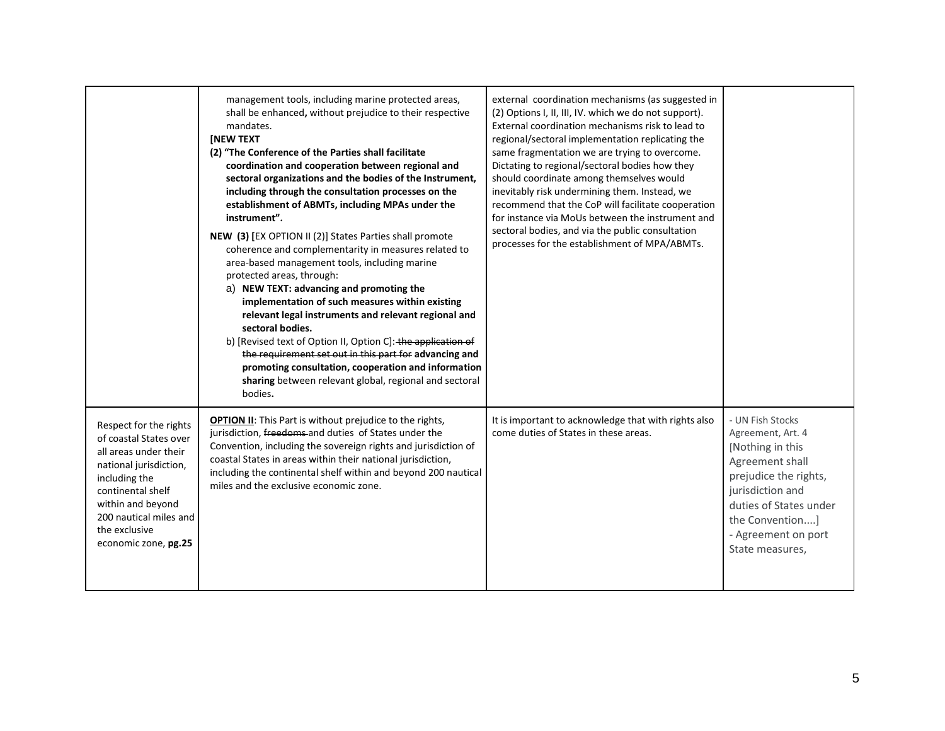|                                                                                                                                                                                                                                   | management tools, including marine protected areas,<br>shall be enhanced, without prejudice to their respective<br>mandates.<br>[NEW TEXT<br>(2) "The Conference of the Parties shall facilitate<br>coordination and cooperation between regional and<br>sectoral organizations and the bodies of the Instrument,<br>including through the consultation processes on the<br>establishment of ABMTs, including MPAs under the<br>instrument".<br>NEW (3) [EX OPTION II (2)] States Parties shall promote<br>coherence and complementarity in measures related to<br>area-based management tools, including marine<br>protected areas, through:<br>a) NEW TEXT: advancing and promoting the<br>implementation of such measures within existing<br>relevant legal instruments and relevant regional and<br>sectoral bodies.<br>b) [Revised text of Option II, Option C]: the application of<br>the requirement set out in this part for advancing and<br>promoting consultation, cooperation and information<br>sharing between relevant global, regional and sectoral<br>bodies. | external coordination mechanisms (as suggested in<br>(2) Options I, II, III, IV. which we do not support).<br>External coordination mechanisms risk to lead to<br>regional/sectoral implementation replicating the<br>same fragmentation we are trying to overcome.<br>Dictating to regional/sectoral bodies how they<br>should coordinate among themselves would<br>inevitably risk undermining them. Instead, we<br>recommend that the CoP will facilitate cooperation<br>for instance via MoUs between the instrument and<br>sectoral bodies, and via the public consultation<br>processes for the establishment of MPA/ABMTs. |                                                                                                                                                                                                                   |
|-----------------------------------------------------------------------------------------------------------------------------------------------------------------------------------------------------------------------------------|--------------------------------------------------------------------------------------------------------------------------------------------------------------------------------------------------------------------------------------------------------------------------------------------------------------------------------------------------------------------------------------------------------------------------------------------------------------------------------------------------------------------------------------------------------------------------------------------------------------------------------------------------------------------------------------------------------------------------------------------------------------------------------------------------------------------------------------------------------------------------------------------------------------------------------------------------------------------------------------------------------------------------------------------------------------------------------|-----------------------------------------------------------------------------------------------------------------------------------------------------------------------------------------------------------------------------------------------------------------------------------------------------------------------------------------------------------------------------------------------------------------------------------------------------------------------------------------------------------------------------------------------------------------------------------------------------------------------------------|-------------------------------------------------------------------------------------------------------------------------------------------------------------------------------------------------------------------|
| Respect for the rights<br>of coastal States over<br>all areas under their<br>national jurisdiction,<br>including the<br>continental shelf<br>within and beyond<br>200 nautical miles and<br>the exclusive<br>economic zone, pg.25 | <b>OPTION II:</b> This Part is without prejudice to the rights,<br>jurisdiction, freedoms and duties of States under the<br>Convention, including the sovereign rights and jurisdiction of<br>coastal States in areas within their national jurisdiction,<br>including the continental shelf within and beyond 200 nautical<br>miles and the exclusive economic zone.                                                                                                                                                                                                                                                                                                                                                                                                                                                                                                                                                                                                                                                                                                          | It is important to acknowledge that with rights also<br>come duties of States in these areas.                                                                                                                                                                                                                                                                                                                                                                                                                                                                                                                                     | - UN Fish Stocks<br>Agreement, Art. 4<br>[Nothing in this]<br>Agreement shall<br>prejudice the rights,<br>jurisdiction and<br>duties of States under<br>the Convention]<br>- Agreement on port<br>State measures, |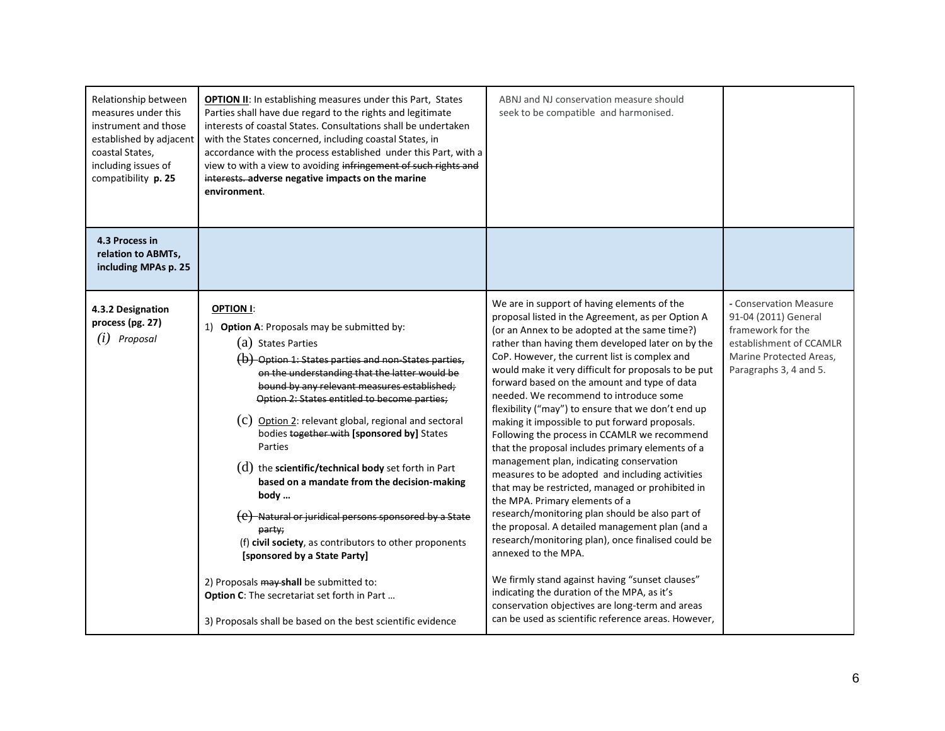| Relationship between<br>measures under this<br>instrument and those<br>established by adjacent<br>coastal States,<br>including issues of<br>compatibility p. 25 | <b>OPTION II:</b> In establishing measures under this Part, States<br>Parties shall have due regard to the rights and legitimate<br>interests of coastal States. Consultations shall be undertaken<br>with the States concerned, including coastal States, in<br>accordance with the process established under this Part, with a<br>view to with a view to avoiding infringement of such rights and<br>interests. adverse negative impacts on the marine<br>environment.                                                                                                                                                                                                                                                                                                                                                                               | ABNJ and NJ conservation measure should<br>seek to be compatible and harmonised.                                                                                                                                                                                                                                                                                                                                                                                                                                                                                                                                                                                                                                                                                                                                                                                                                                                                                                                                                                                                                                                                                                                          |                                                                                                                                                     |
|-----------------------------------------------------------------------------------------------------------------------------------------------------------------|--------------------------------------------------------------------------------------------------------------------------------------------------------------------------------------------------------------------------------------------------------------------------------------------------------------------------------------------------------------------------------------------------------------------------------------------------------------------------------------------------------------------------------------------------------------------------------------------------------------------------------------------------------------------------------------------------------------------------------------------------------------------------------------------------------------------------------------------------------|-----------------------------------------------------------------------------------------------------------------------------------------------------------------------------------------------------------------------------------------------------------------------------------------------------------------------------------------------------------------------------------------------------------------------------------------------------------------------------------------------------------------------------------------------------------------------------------------------------------------------------------------------------------------------------------------------------------------------------------------------------------------------------------------------------------------------------------------------------------------------------------------------------------------------------------------------------------------------------------------------------------------------------------------------------------------------------------------------------------------------------------------------------------------------------------------------------------|-----------------------------------------------------------------------------------------------------------------------------------------------------|
| 4.3 Process in<br>relation to ABMTs,<br>including MPAs p. 25                                                                                                    |                                                                                                                                                                                                                                                                                                                                                                                                                                                                                                                                                                                                                                                                                                                                                                                                                                                        |                                                                                                                                                                                                                                                                                                                                                                                                                                                                                                                                                                                                                                                                                                                                                                                                                                                                                                                                                                                                                                                                                                                                                                                                           |                                                                                                                                                     |
| 4.3.2 Designation<br>process (pg. 27)<br>$(i)$ Proposal                                                                                                         | <b>OPTION I:</b><br>1) Option A: Proposals may be submitted by:<br>(a) States Parties<br>$(b)$ Option 1: States parties and non-States parties,<br>on the understanding that the latter would be<br>bound by any relevant measures established;<br>Option 2: States entitled to become parties;<br>(C) Option 2: relevant global, regional and sectoral<br>bodies together with [sponsored by] States<br>Parties<br>$(d)$ the scientific/technical body set forth in Part<br>based on a mandate from the decision-making<br>body<br>(e) Natural or juridical persons sponsored by a State<br>party;<br>(f) civil society, as contributors to other proponents<br>[sponsored by a State Party]<br>2) Proposals may shall be submitted to:<br>Option C: The secretariat set forth in Part<br>3) Proposals shall be based on the best scientific evidence | We are in support of having elements of the<br>proposal listed in the Agreement, as per Option A<br>(or an Annex to be adopted at the same time?)<br>rather than having them developed later on by the<br>CoP. However, the current list is complex and<br>would make it very difficult for proposals to be put<br>forward based on the amount and type of data<br>needed. We recommend to introduce some<br>flexibility ("may") to ensure that we don't end up<br>making it impossible to put forward proposals.<br>Following the process in CCAMLR we recommend<br>that the proposal includes primary elements of a<br>management plan, indicating conservation<br>measures to be adopted and including activities<br>that may be restricted, managed or prohibited in<br>the MPA. Primary elements of a<br>research/monitoring plan should be also part of<br>the proposal. A detailed management plan (and a<br>research/monitoring plan), once finalised could be<br>annexed to the MPA.<br>We firmly stand against having "sunset clauses"<br>indicating the duration of the MPA, as it's<br>conservation objectives are long-term and areas<br>can be used as scientific reference areas. However, | - Conservation Measure<br>91-04 (2011) General<br>framework for the<br>establishment of CCAMLR<br>Marine Protected Areas.<br>Paragraphs 3, 4 and 5. |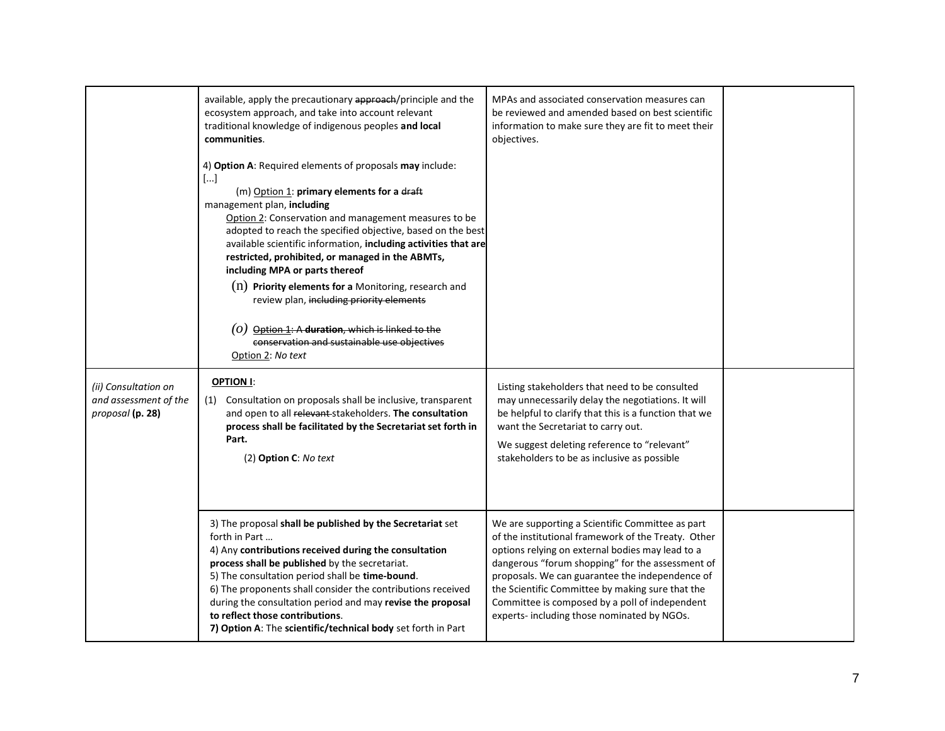|                                                                   | available, apply the precautionary approach/principle and the<br>ecosystem approach, and take into account relevant<br>traditional knowledge of indigenous peoples and local<br>communities.                                                                                                                                                                                                                                                                                                                                                                                                                                                                 | MPAs and associated conservation measures can<br>be reviewed and amended based on best scientific<br>information to make sure they are fit to meet their<br>objectives.                                                                                                                                                                                                                                                 |  |
|-------------------------------------------------------------------|--------------------------------------------------------------------------------------------------------------------------------------------------------------------------------------------------------------------------------------------------------------------------------------------------------------------------------------------------------------------------------------------------------------------------------------------------------------------------------------------------------------------------------------------------------------------------------------------------------------------------------------------------------------|-------------------------------------------------------------------------------------------------------------------------------------------------------------------------------------------------------------------------------------------------------------------------------------------------------------------------------------------------------------------------------------------------------------------------|--|
|                                                                   | 4) Option A: Required elements of proposals may include:<br>$[]$<br>(m) Option 1: primary elements for a draft<br>management plan, including<br>Option 2: Conservation and management measures to be<br>adopted to reach the specified objective, based on the best<br>available scientific information, including activities that are<br>restricted, prohibited, or managed in the ABMTs,<br>including MPA or parts thereof<br>$(n)$ Priority elements for a Monitoring, research and<br>review plan, including priority elements<br>$(0)$ Option 1: A duration, which is linked to the<br>conservation and sustainable use objectives<br>Option 2: No text |                                                                                                                                                                                                                                                                                                                                                                                                                         |  |
| (ii) Consultation on<br>and assessment of the<br>proposal (p. 28) | OPTION I:<br>(1) Consultation on proposals shall be inclusive, transparent<br>and open to all relevant stakeholders. The consultation<br>process shall be facilitated by the Secretariat set forth in<br>Part.<br>(2) Option C: No text                                                                                                                                                                                                                                                                                                                                                                                                                      | Listing stakeholders that need to be consulted<br>may unnecessarily delay the negotiations. It will<br>be helpful to clarify that this is a function that we<br>want the Secretariat to carry out.<br>We suggest deleting reference to "relevant"<br>stakeholders to be as inclusive as possible                                                                                                                        |  |
|                                                                   | 3) The proposal shall be published by the Secretariat set<br>forth in Part<br>4) Any contributions received during the consultation<br>process shall be published by the secretariat.<br>5) The consultation period shall be time-bound.<br>6) The proponents shall consider the contributions received<br>during the consultation period and may revise the proposal<br>to reflect those contributions.<br>7) Option A: The scientific/technical body set forth in Part                                                                                                                                                                                     | We are supporting a Scientific Committee as part<br>of the institutional framework of the Treaty. Other<br>options relying on external bodies may lead to a<br>dangerous "forum shopping" for the assessment of<br>proposals. We can guarantee the independence of<br>the Scientific Committee by making sure that the<br>Committee is composed by a poll of independent<br>experts- including those nominated by NGOs. |  |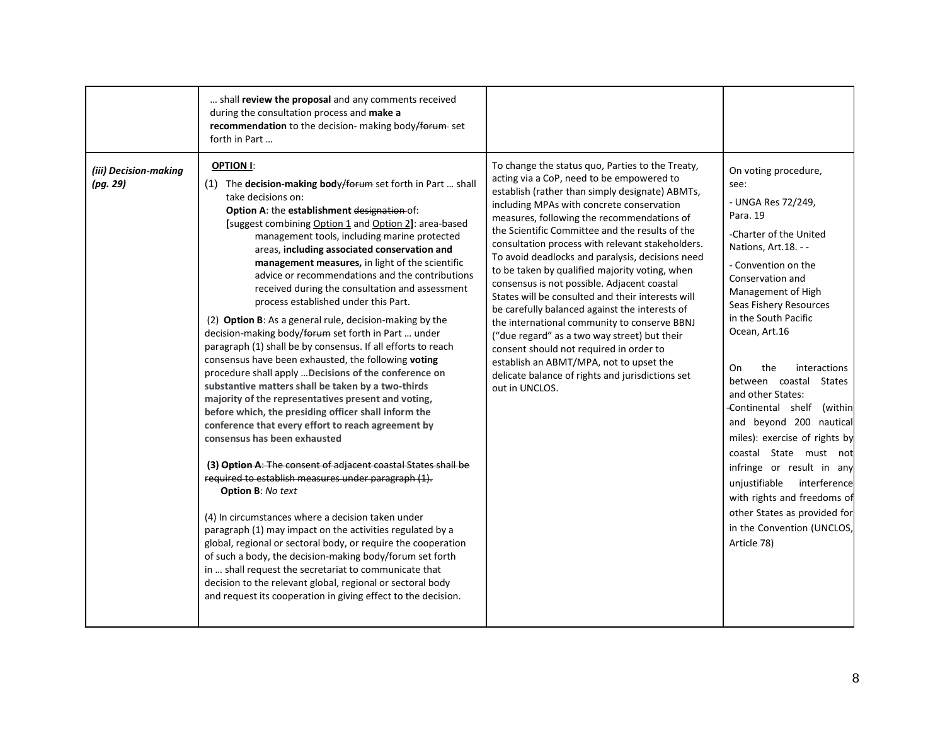|                                   | shall review the proposal and any comments received<br>during the consultation process and make a<br>recommendation to the decision- making body/forum-set<br>forth in Part                                                                                                                                                                                                                                                                                                                                                                                                                                                                                                                                                                                                                                                                                                                                                                                                                                                                                                                                                                                                                                                                                                                                                                                                                                                                                                                                                                                                                                                                                     |                                                                                                                                                                                                                                                                                                                                                                                                                                                                                                                                                                                                                                                                                                                                                                                                                                                                            |                                                                                                                                                                                                                                                                                                                                                                                                                                                                                                                                                                                                                           |
|-----------------------------------|-----------------------------------------------------------------------------------------------------------------------------------------------------------------------------------------------------------------------------------------------------------------------------------------------------------------------------------------------------------------------------------------------------------------------------------------------------------------------------------------------------------------------------------------------------------------------------------------------------------------------------------------------------------------------------------------------------------------------------------------------------------------------------------------------------------------------------------------------------------------------------------------------------------------------------------------------------------------------------------------------------------------------------------------------------------------------------------------------------------------------------------------------------------------------------------------------------------------------------------------------------------------------------------------------------------------------------------------------------------------------------------------------------------------------------------------------------------------------------------------------------------------------------------------------------------------------------------------------------------------------------------------------------------------|----------------------------------------------------------------------------------------------------------------------------------------------------------------------------------------------------------------------------------------------------------------------------------------------------------------------------------------------------------------------------------------------------------------------------------------------------------------------------------------------------------------------------------------------------------------------------------------------------------------------------------------------------------------------------------------------------------------------------------------------------------------------------------------------------------------------------------------------------------------------------|---------------------------------------------------------------------------------------------------------------------------------------------------------------------------------------------------------------------------------------------------------------------------------------------------------------------------------------------------------------------------------------------------------------------------------------------------------------------------------------------------------------------------------------------------------------------------------------------------------------------------|
| (iii) Decision-making<br>(pq. 29) | OPTION I:<br>(1) The decision-making body/forum set forth in Part  shall<br>take decisions on:<br>Option A: the establishment designation of:<br>[suggest combining Option 1 and Option 2]: area-based<br>management tools, including marine protected<br>areas, including associated conservation and<br>management measures, in light of the scientific<br>advice or recommendations and the contributions<br>received during the consultation and assessment<br>process established under this Part.<br>(2) Option B: As a general rule, decision-making by the<br>decision-making body/forum set forth in Part  under<br>paragraph (1) shall be by consensus. If all efforts to reach<br>consensus have been exhausted, the following voting<br>procedure shall apply  Decisions of the conference on<br>substantive matters shall be taken by a two-thirds<br>majority of the representatives present and voting,<br>before which, the presiding officer shall inform the<br>conference that every effort to reach agreement by<br>consensus has been exhausted<br>(3) Option A: The consent of adjacent coastal States shall be<br>required to establish measures under paragraph (1).<br><b>Option B: No text</b><br>(4) In circumstances where a decision taken under<br>paragraph (1) may impact on the activities regulated by a<br>global, regional or sectoral body, or require the cooperation<br>of such a body, the decision-making body/forum set forth<br>in  shall request the secretariat to communicate that<br>decision to the relevant global, regional or sectoral body<br>and request its cooperation in giving effect to the decision. | To change the status quo, Parties to the Treaty,<br>acting via a CoP, need to be empowered to<br>establish (rather than simply designate) ABMTs,<br>including MPAs with concrete conservation<br>measures, following the recommendations of<br>the Scientific Committee and the results of the<br>consultation process with relevant stakeholders.<br>To avoid deadlocks and paralysis, decisions need<br>to be taken by qualified majority voting, when<br>consensus is not possible. Adjacent coastal<br>States will be consulted and their interests will<br>be carefully balanced against the interests of<br>the international community to conserve BBNJ<br>("due regard" as a two way street) but their<br>consent should not required in order to<br>establish an ABMT/MPA, not to upset the<br>delicate balance of rights and jurisdictions set<br>out in UNCLOS. | On voting procedure,<br>see:<br>- UNGA Res 72/249,<br>Para, 19<br>-Charter of the United<br>Nations, Art.18. --<br>- Convention on the<br>Conservation and<br>Management of High<br>Seas Fishery Resources<br>in the South Pacific<br>Ocean, Art.16<br>On<br>the<br>interactions<br>between coastal States<br>and other States:<br>Continental shelf (within<br>and beyond 200 nautical<br>miles): exercise of rights by<br>coastal State must not<br>infringe or result in any<br>unjustifiable interference<br>with rights and freedoms of<br>other States as provided for<br>in the Convention (UNCLOS,<br>Article 78) |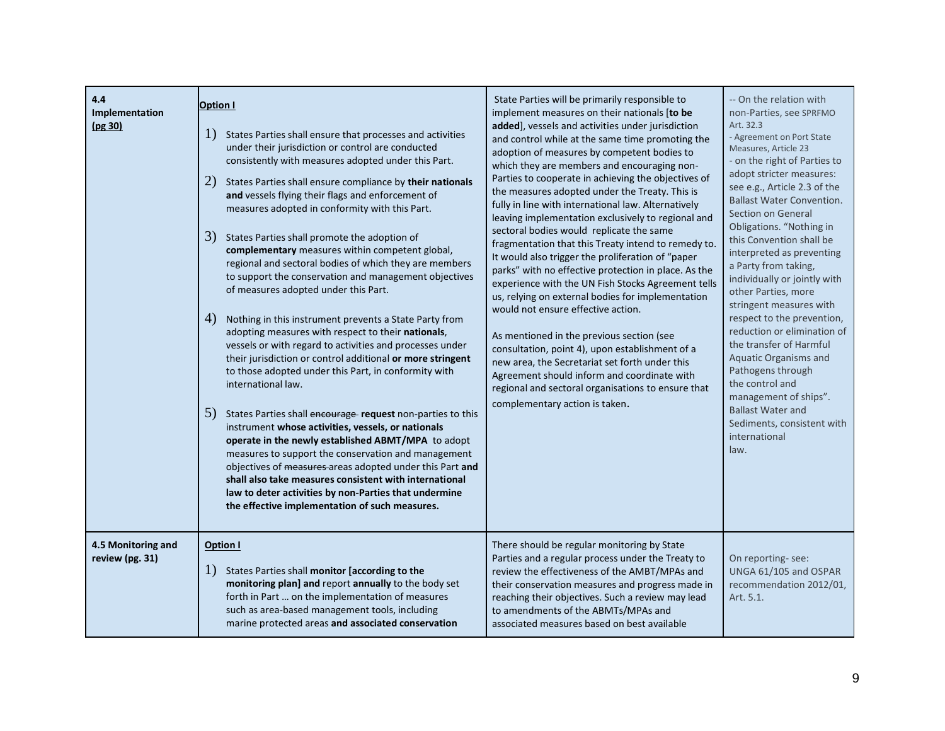| 4.4<br>Implementation<br>(pg 30)      | <b>Option I</b><br>1)<br>States Parties shall ensure that processes and activities<br>under their jurisdiction or control are conducted<br>consistently with measures adopted under this Part.<br>2)<br>States Parties shall ensure compliance by their nationals<br>and vessels flying their flags and enforcement of<br>measures adopted in conformity with this Part.<br>3)<br>States Parties shall promote the adoption of<br>complementary measures within competent global,<br>regional and sectoral bodies of which they are members<br>to support the conservation and management objectives<br>of measures adopted under this Part.<br>4)<br>Nothing in this instrument prevents a State Party from<br>adopting measures with respect to their nationals,<br>vessels or with regard to activities and processes under<br>their jurisdiction or control additional or more stringent<br>to those adopted under this Part, in conformity with<br>international law.<br>5)<br>States Parties shall encourage request non-parties to this<br>instrument whose activities, vessels, or nationals<br>operate in the newly established ABMT/MPA to adopt<br>measures to support the conservation and management<br>objectives of measures areas adopted under this Part and<br>shall also take measures consistent with international<br>law to deter activities by non-Parties that undermine<br>the effective implementation of such measures. | State Parties will be primarily responsible to<br>implement measures on their nationals [to be<br>added], vessels and activities under jurisdiction<br>and control while at the same time promoting the<br>adoption of measures by competent bodies to<br>which they are members and encouraging non-<br>Parties to cooperate in achieving the objectives of<br>the measures adopted under the Treaty. This is<br>fully in line with international law. Alternatively<br>leaving implementation exclusively to regional and<br>sectoral bodies would replicate the same<br>fragmentation that this Treaty intend to remedy to.<br>It would also trigger the proliferation of "paper<br>parks" with no effective protection in place. As the<br>experience with the UN Fish Stocks Agreement tells<br>us, relying on external bodies for implementation<br>would not ensure effective action.<br>As mentioned in the previous section (see<br>consultation, point 4), upon establishment of a<br>new area, the Secretariat set forth under this<br>Agreement should inform and coordinate with<br>regional and sectoral organisations to ensure that<br>complementary action is taken. | -- On the relation with<br>non-Parties, see SPRFMO<br>Art. 32.3<br>- Agreement on Port State<br>Measures, Article 23<br>- on the right of Parties to<br>adopt stricter measures:<br>see e.g., Article 2.3 of the<br><b>Ballast Water Convention.</b><br>Section on General<br>Obligations. "Nothing in<br>this Convention shall be<br>interpreted as preventing<br>a Party from taking,<br>individually or jointly with<br>other Parties, more<br>stringent measures with<br>respect to the prevention,<br>reduction or elimination of<br>the transfer of Harmful<br>Aquatic Organisms and<br>Pathogens through<br>the control and<br>management of ships".<br><b>Ballast Water and</b><br>Sediments, consistent with<br>international<br>law. |
|---------------------------------------|----------------------------------------------------------------------------------------------------------------------------------------------------------------------------------------------------------------------------------------------------------------------------------------------------------------------------------------------------------------------------------------------------------------------------------------------------------------------------------------------------------------------------------------------------------------------------------------------------------------------------------------------------------------------------------------------------------------------------------------------------------------------------------------------------------------------------------------------------------------------------------------------------------------------------------------------------------------------------------------------------------------------------------------------------------------------------------------------------------------------------------------------------------------------------------------------------------------------------------------------------------------------------------------------------------------------------------------------------------------------------------------------------------------------------------------------------|---------------------------------------------------------------------------------------------------------------------------------------------------------------------------------------------------------------------------------------------------------------------------------------------------------------------------------------------------------------------------------------------------------------------------------------------------------------------------------------------------------------------------------------------------------------------------------------------------------------------------------------------------------------------------------------------------------------------------------------------------------------------------------------------------------------------------------------------------------------------------------------------------------------------------------------------------------------------------------------------------------------------------------------------------------------------------------------------------------------------------------------------------------------------------------------|------------------------------------------------------------------------------------------------------------------------------------------------------------------------------------------------------------------------------------------------------------------------------------------------------------------------------------------------------------------------------------------------------------------------------------------------------------------------------------------------------------------------------------------------------------------------------------------------------------------------------------------------------------------------------------------------------------------------------------------------|
| 4.5 Monitoring and<br>review (pg. 31) | Option I<br>$\Gamma$<br>States Parties shall monitor [according to the<br>monitoring plan] and report annually to the body set<br>forth in Part  on the implementation of measures<br>such as area-based management tools, including<br>marine protected areas and associated conservation                                                                                                                                                                                                                                                                                                                                                                                                                                                                                                                                                                                                                                                                                                                                                                                                                                                                                                                                                                                                                                                                                                                                                         | There should be regular monitoring by State<br>Parties and a regular process under the Treaty to<br>review the effectiveness of the AMBT/MPAs and<br>their conservation measures and progress made in<br>reaching their objectives. Such a review may lead<br>to amendments of the ABMTs/MPAs and<br>associated measures based on best available                                                                                                                                                                                                                                                                                                                                                                                                                                                                                                                                                                                                                                                                                                                                                                                                                                      | On reporting-see:<br>UNGA 61/105 and OSPAR<br>recommendation 2012/01,<br>Art. 5.1.                                                                                                                                                                                                                                                                                                                                                                                                                                                                                                                                                                                                                                                             |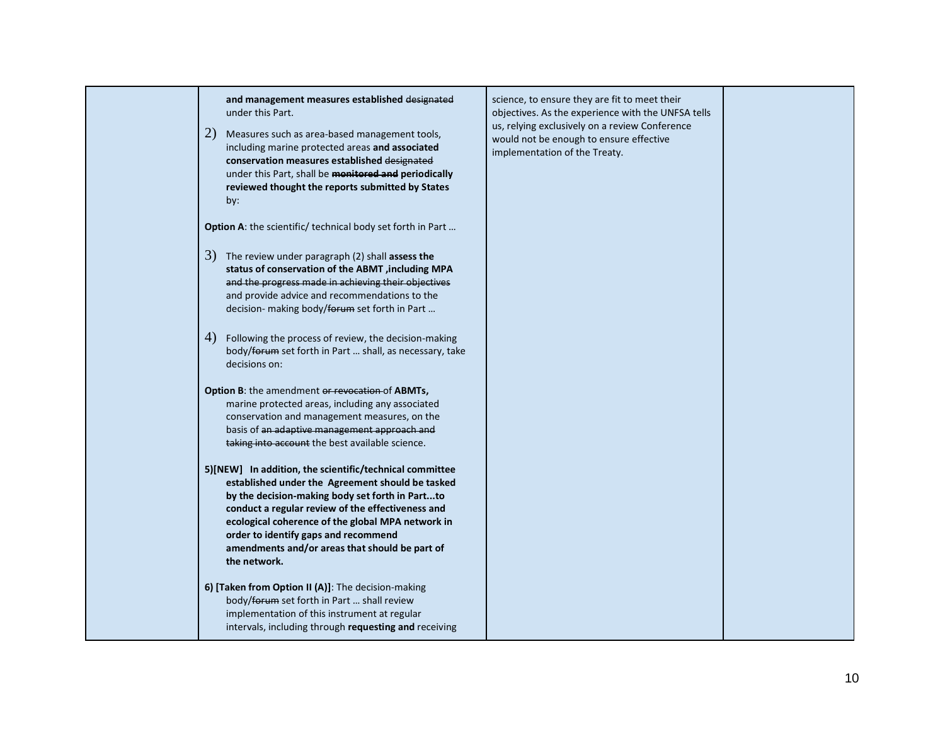| and management measures established designated<br>under this Part.<br>2)<br>Measures such as area-based management tools,<br>including marine protected areas and associated<br>conservation measures established designated<br>under this Part, shall be monitored and periodically<br>reviewed thought the reports submitted by States<br>by:                                    | science, to ensure they are fit to meet their<br>objectives. As the experience with the UNFSA tells<br>us, relying exclusively on a review Conference<br>would not be enough to ensure effective<br>implementation of the Treaty. |  |
|------------------------------------------------------------------------------------------------------------------------------------------------------------------------------------------------------------------------------------------------------------------------------------------------------------------------------------------------------------------------------------|-----------------------------------------------------------------------------------------------------------------------------------------------------------------------------------------------------------------------------------|--|
| Option A: the scientific/ technical body set forth in Part                                                                                                                                                                                                                                                                                                                         |                                                                                                                                                                                                                                   |  |
| $3)$ The review under paragraph (2) shall assess the<br>status of conservation of the ABMT , including MPA<br>and the progress made in achieving their objectives<br>and provide advice and recommendations to the<br>decision- making body/forum set forth in Part                                                                                                                |                                                                                                                                                                                                                                   |  |
| 4)<br>Following the process of review, the decision-making<br>body/forum set forth in Part  shall, as necessary, take<br>decisions on:                                                                                                                                                                                                                                             |                                                                                                                                                                                                                                   |  |
| Option B: the amendment or revocation of ABMTs,<br>marine protected areas, including any associated<br>conservation and management measures, on the<br>basis of an adaptive management approach and<br>taking into account the best available science.                                                                                                                             |                                                                                                                                                                                                                                   |  |
| 5)[NEW] In addition, the scientific/technical committee<br>established under the Agreement should be tasked<br>by the decision-making body set forth in Partto<br>conduct a regular review of the effectiveness and<br>ecological coherence of the global MPA network in<br>order to identify gaps and recommend<br>amendments and/or areas that should be part of<br>the network. |                                                                                                                                                                                                                                   |  |
| 6) [Taken from Option II (A)]: The decision-making<br>body/forum set forth in Part  shall review<br>implementation of this instrument at regular<br>intervals, including through requesting and receiving                                                                                                                                                                          |                                                                                                                                                                                                                                   |  |